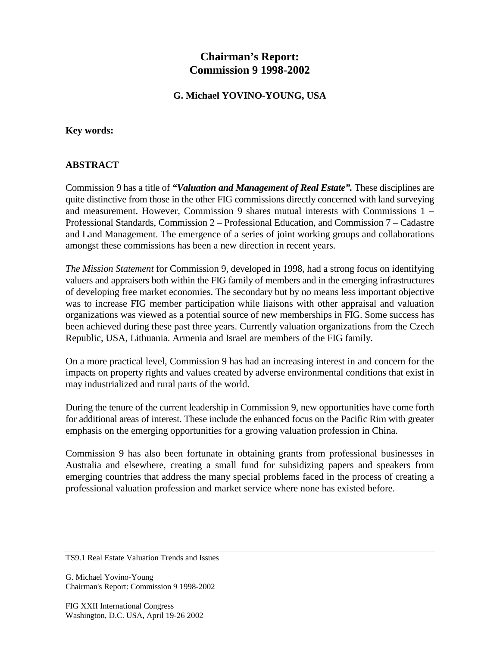# **Chairman's Report: Commission 9 1998-2002**

### **G. Michael YOVINO-YOUNG, USA**

#### **Key words:**

#### **ABSTRACT**

Commission 9 has a title of *"Valuation and Management of Real Estate".* These disciplines are quite distinctive from those in the other FIG commissions directly concerned with land surveying and measurement. However, Commission 9 shares mutual interests with Commissions 1 – Professional Standards, Commission 2 – Professional Education, and Commission 7 – Cadastre and Land Management. The emergence of a series of joint working groups and collaborations amongst these commissions has been a new direction in recent years.

*The Mission Statement* for Commission 9, developed in 1998, had a strong focus on identifying valuers and appraisers both within the FIG family of members and in the emerging infrastructures of developing free market economies. The secondary but by no means less important objective was to increase FIG member participation while liaisons with other appraisal and valuation organizations was viewed as a potential source of new memberships in FIG. Some success has been achieved during these past three years. Currently valuation organizations from the Czech Republic, USA, Lithuania. Armenia and Israel are members of the FIG family.

On a more practical level, Commission 9 has had an increasing interest in and concern for the impacts on property rights and values created by adverse environmental conditions that exist in may industrialized and rural parts of the world.

During the tenure of the current leadership in Commission 9, new opportunities have come forth for additional areas of interest. These include the enhanced focus on the Pacific Rim with greater emphasis on the emerging opportunities for a growing valuation profession in China.

Commission 9 has also been fortunate in obtaining grants from professional businesses in Australia and elsewhere, creating a small fund for subsidizing papers and speakers from emerging countries that address the many special problems faced in the process of creating a professional valuation profession and market service where none has existed before.

G. Michael Yovino-Young Chairman's Report: Commission 9 1998-2002

TS9.1 Real Estate Valuation Trends and Issues